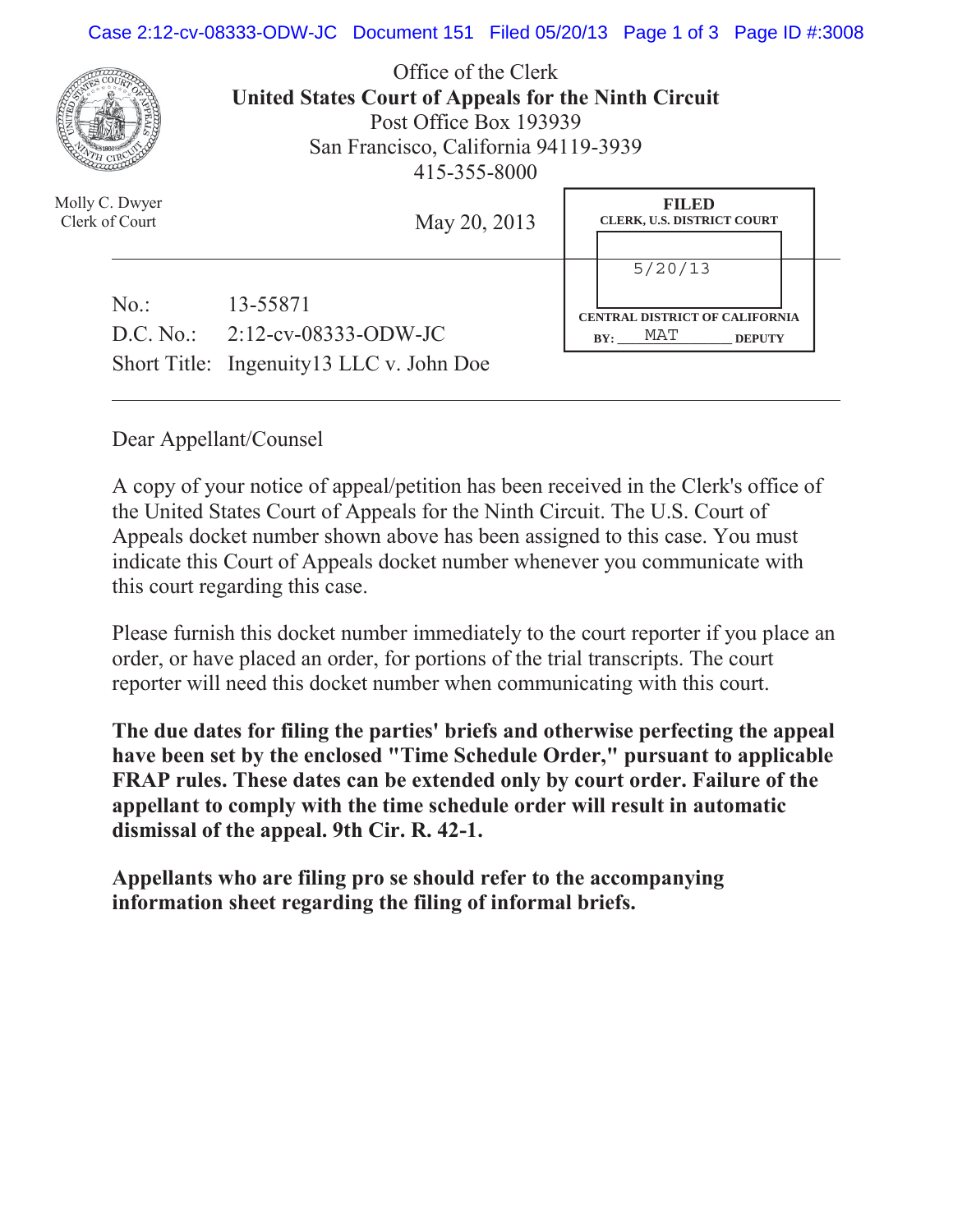## Case 2:12-cv-08333-ODW-JC Document 151 Filed 05/20/13 Page 1 of 3 Page ID #:3008



Office of the Clerk **United States Court of Appeals for the Ninth Circuit**  Post Office Box 193939 San Francisco, California 94119-3939 415-355-8000

| Molly C. Dwyer<br>Clerk of Court | May 20, 2013                                  | <b>FILED</b><br><b>CLERK, U.S. DISTRICT COURT</b>                               |  |
|----------------------------------|-----------------------------------------------|---------------------------------------------------------------------------------|--|
| No.                              | 13-55871<br>D.C. No.: $2:12$ -cv-08333-ODW-JC | 5/20/13<br><b>CENTRAL DISTRICT OF CALIFORNIA</b><br>MAT<br>BY:<br><b>DEPUTY</b> |  |
|                                  | Short Title: Ingenuity13 LLC v. John Doe      |                                                                                 |  |

Dear Appellant/Counsel

A copy of your notice of appeal/petition has been received in the Clerk's office of the United States Court of Appeals for the Ninth Circuit. The U.S. Court of Appeals docket number shown above has been assigned to this case. You must indicate this Court of Appeals docket number whenever you communicate with this court regarding this case.

Please furnish this docket number immediately to the court reporter if you place an order, or have placed an order, for portions of the trial transcripts. The court reporter will need this docket number when communicating with this court.

**The due dates for filing the parties' briefs and otherwise perfecting the appeal have been set by the enclosed "Time Schedule Order," pursuant to applicable FRAP rules. These dates can be extended only by court order. Failure of the appellant to comply with the time schedule order will result in automatic dismissal of the appeal. 9th Cir. R. 42-1.**

**Appellants who are filing pro se should refer to the accompanying information sheet regarding the filing of informal briefs.**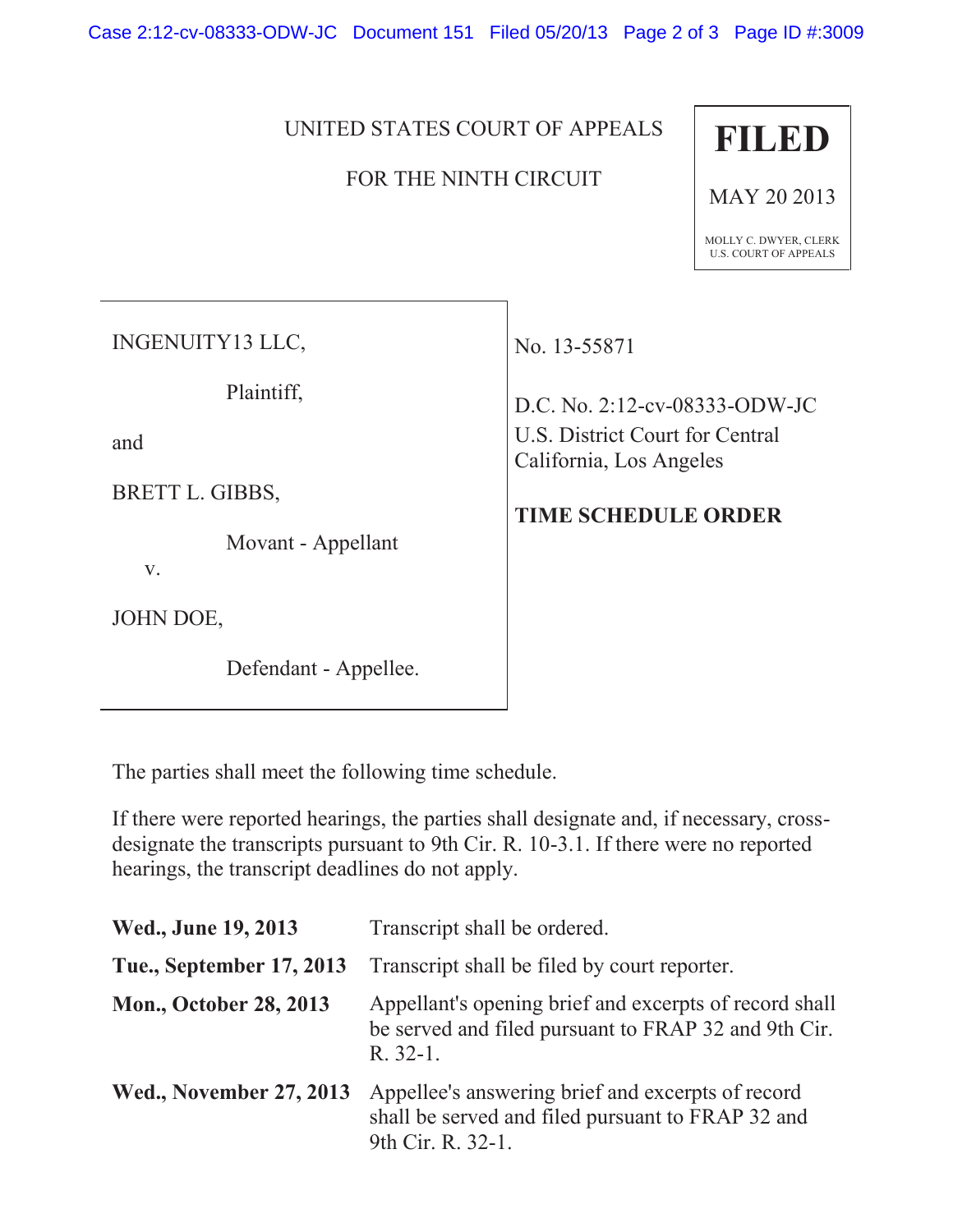Case 2:12-cv-08333-ODW-JC Document 151 Filed 05/20/13 Page 2 of 3 Page ID #:3009

## UNITED STATES COURT OF APPEALS

## FOR THE NINTH CIRCUIT



MAY 20 2013

MOLLY C. DWYER, CLERK U.S. COURT OF APPEALS

INGENUITY13 LLC,

Plaintiff,

and

BRETT L. GIBBS,

Movant - Appellant

v.

JOHN DOE,

Defendant - Appellee.

No. 13-55871

D.C. No. 2:12-cv-08333-ODW-JC U.S. District Court for Central California, Los Angeles

## **TIME SCHEDULE ORDER**

The parties shall meet the following time schedule.

If there were reported hearings, the parties shall designate and, if necessary, crossdesignate the transcripts pursuant to 9th Cir. R. 10-3.1. If there were no reported hearings, the transcript deadlines do not apply.

| Wed., June 19, 2013            | Transcript shall be ordered.                                                                                                 |
|--------------------------------|------------------------------------------------------------------------------------------------------------------------------|
| Tue., September 17, 2013       | Transcript shall be filed by court reporter.                                                                                 |
| <b>Mon., October 28, 2013</b>  | Appellant's opening brief and excerpts of record shall<br>be served and filed pursuant to FRAP 32 and 9th Cir.<br>$R. 32-1.$ |
| <b>Wed., November 27, 2013</b> | Appellee's answering brief and excerpts of record<br>shall be served and filed pursuant to FRAP 32 and<br>9th Cir. R. 32-1.  |